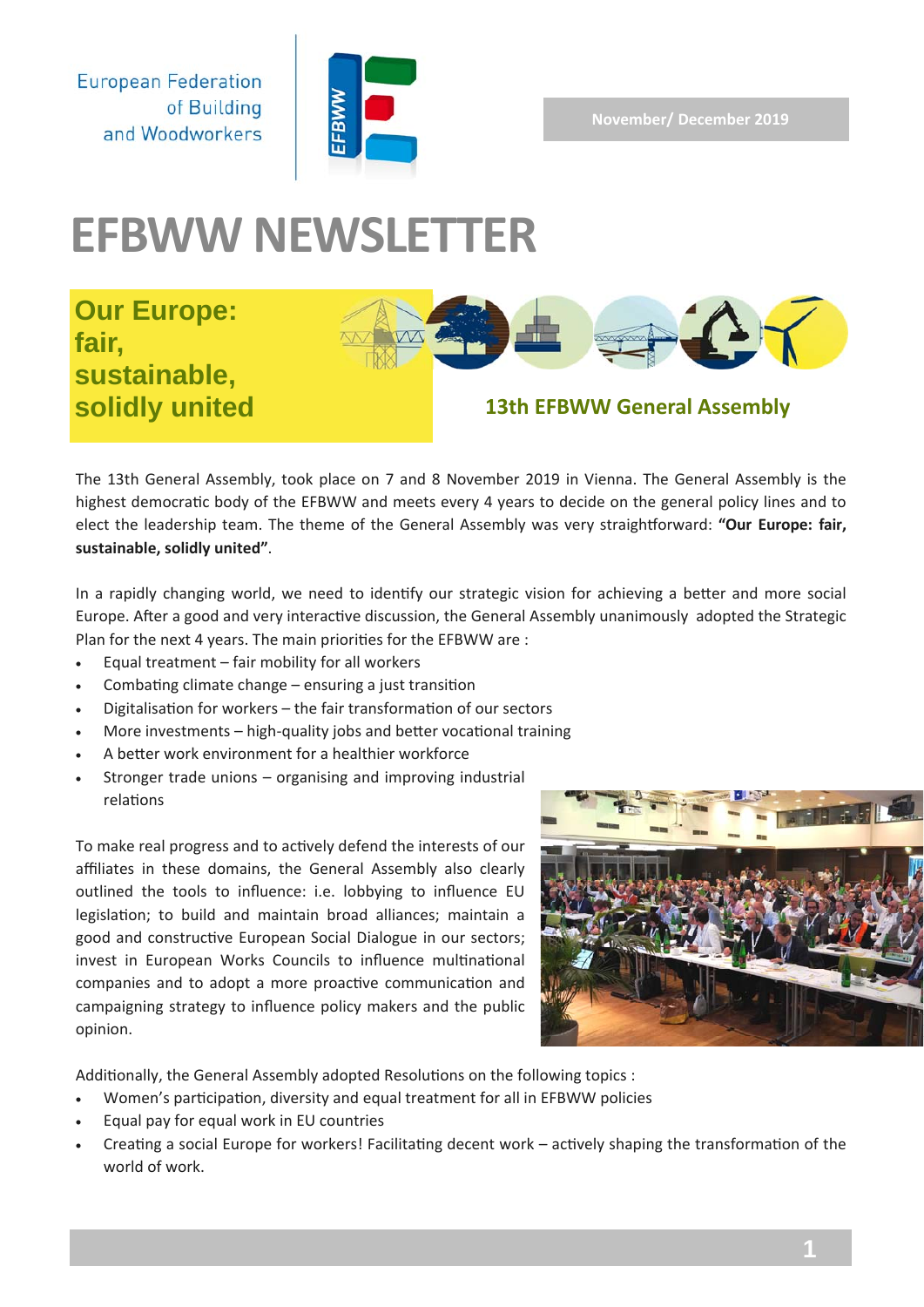**November/ December 2019** 

**European Federation** of Building and Woodworkers



# **EFBWW NEWSLETTER**

# **Our Europe: fair, sustainable,**



# **solidly united 13th EFBWW General Assembly**

The 13th General Assembly, took place on 7 and 8 November 2019 in Vienna. The General Assembly is the highest democratic body of the EFBWW and meets every 4 years to decide on the general policy lines and to elect the leadership team. The theme of the General Assembly was very straightforward: "Our Europe: fair, **sustainable, solidly united"**.

In a rapidly changing world, we need to identify our strategic vision for achieving a better and more social Europe. After a good and very interactive discussion, the General Assembly unanimously adopted the Strategic Plan for the next 4 years. The main priorities for the EFBWW are :

- Equal treatment fair mobility for all workers
- Combating climate change ensuring a just transition
- Digitalisation for workers the fair transformation of our sectors
- More investments high-quality jobs and better vocational training
- A better work environment for a healthier workforce
- Stronger trade unions organising and improving industrial relations

To make real progress and to actively defend the interests of our affiliates in these domains, the General Assembly also clearly outlined the tools to influence: i.e. lobbying to influence EU legislation; to build and maintain broad alliances; maintain a good and constructive European Social Dialogue in our sectors; invest in European Works Councils to influence multinational companies and to adopt a more proactive communication and campaigning strategy to influence policy makers and the public opinion.



Additionally, the General Assembly adopted Resolutions on the following topics :

- Women's participation, diversity and equal treatment for all in EFBWW policies
- Equal pay for equal work in EU countries
- Creating a social Europe for workers! Facilitating decent work actively shaping the transformation of the world of work.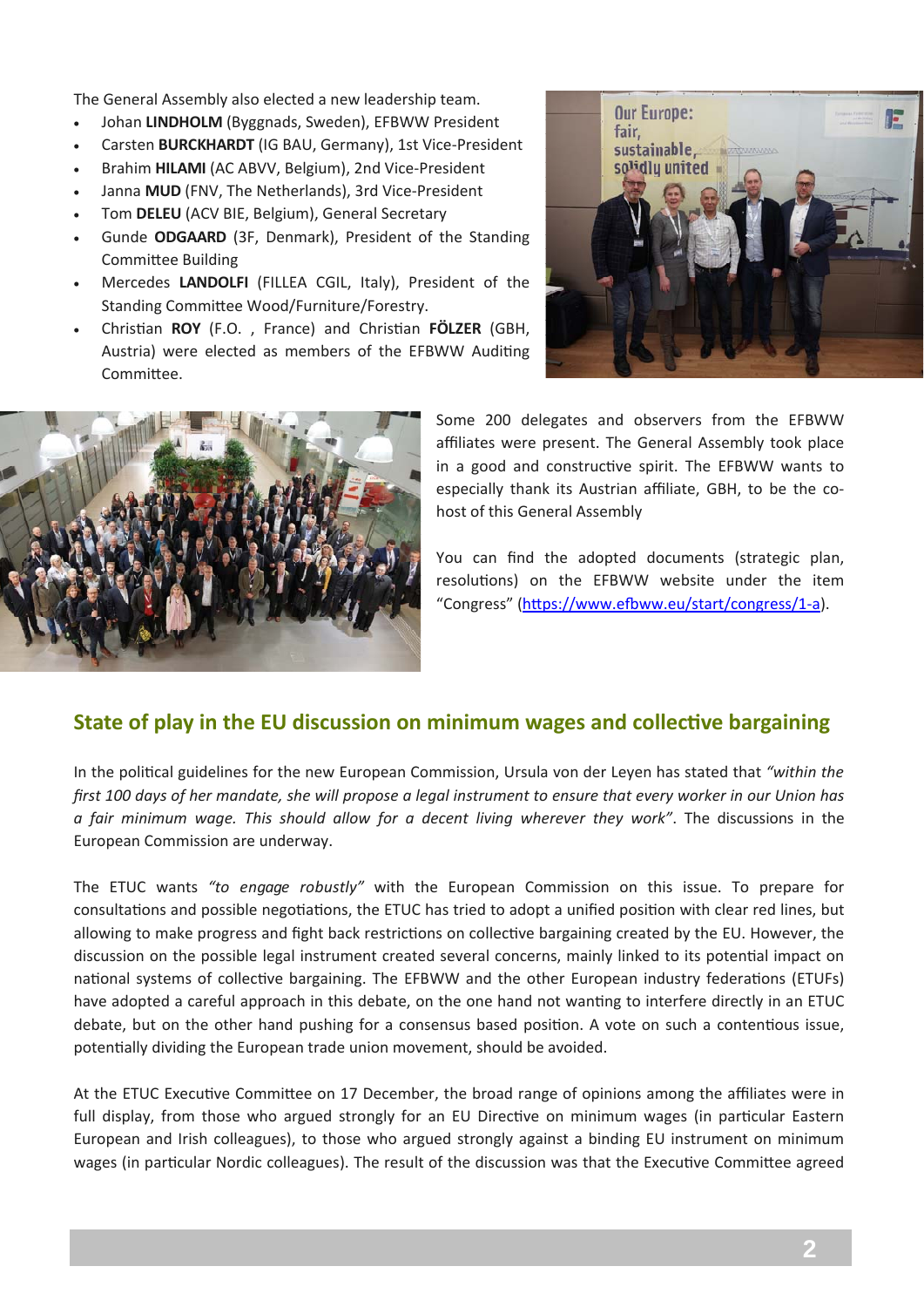The General Assembly also elected a new leadership team.

- Johan **LINDHOLM** (Byggnads, Sweden), EFBWW President
- Carsten **BURCKHARDT** (IG BAU, Germany), 1st Vice‐President
- Brahim **HILAMI** (AC ABVV, Belgium), 2nd Vice‐President
- Janna **MUD** (FNV, The Netherlands), 3rd Vice‐President
- Tom **DELEU** (ACV BIE, Belgium), General Secretary
- Gunde **ODGAARD** (3F, Denmark), President of the Standing Committee Building
- Mercedes **LANDOLFI** (FILLEA CGIL, Italy), President of the Standing Committee Wood/Furniture/Forestry.
- Christian **ROY** (F.O., France) and Christian FÖLZER (GBH, Austria) were elected as members of the EFBWW Auditing Committee.





Some 200 delegates and observers from the EFBWW affiliates were present. The General Assembly took place in a good and constructive spirit. The EFBWW wants to especially thank its Austrian affiliate, GBH, to be the co‐ host of this General Assembly

You can find the adopted documents (strategic plan, resolutions) on the EFBWW website under the item "Congress" (https://www.efbww.eu/start/congress/1-a).

#### **State of play in the EU discussion on minimum wages and collective bargaining**

In the political guidelines for the new European Commission, Ursula von der Leyen has stated that "within the *first 100 days of her mandate, she will propose a legal instrument to ensure that every worker in our Union has a fair minimum wage. This should allow for a decent living wherever they work"*. The discussions in the European Commission are underway.

The ETUC wants *"to engage robustly"* with the European Commission on this issue. To prepare for consultations and possible negotiations, the ETUC has tried to adopt a unified position with clear red lines, but allowing to make progress and fight back restrictions on collective bargaining created by the EU. However, the discussion on the possible legal instrument created several concerns, mainly linked to its potential impact on national systems of collective bargaining. The EFBWW and the other European industry federations (ETUFs) have adopted a careful approach in this debate, on the one hand not wanting to interfere directly in an ETUC debate, but on the other hand pushing for a consensus based position. A vote on such a contentious issue, potentially dividing the European trade union movement, should be avoided.

At the ETUC Executive Committee on 17 December, the broad range of opinions among the affiliates were in full display, from those who argued strongly for an EU Directive on minimum wages (in particular Eastern European and Irish colleagues), to those who argued strongly against a binding EU instrument on minimum wages (in particular Nordic colleagues). The result of the discussion was that the Executive Committee agreed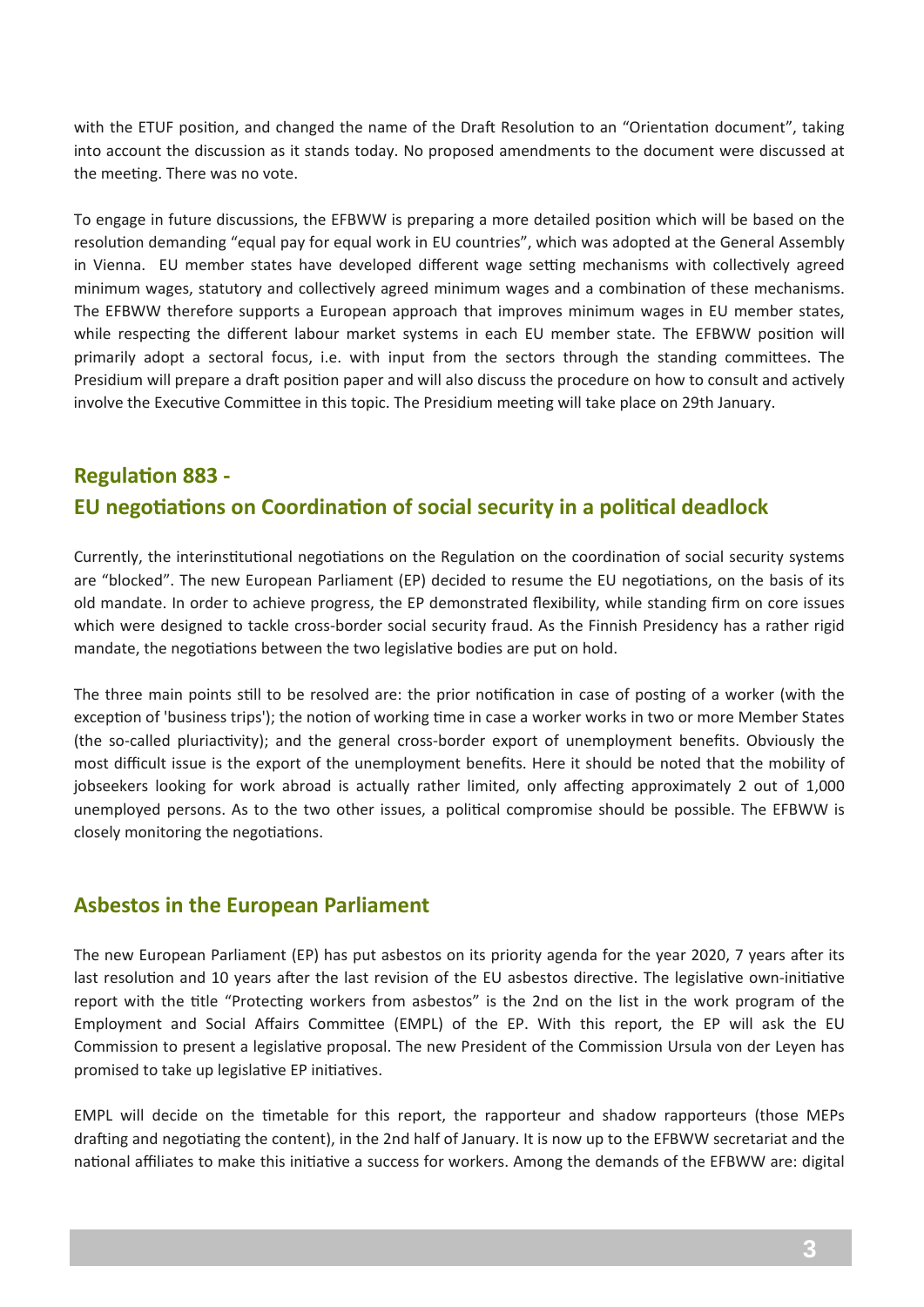with the ETUF position, and changed the name of the Draft Resolution to an "Orientation document", taking into account the discussion as it stands today. No proposed amendments to the document were discussed at the meeting. There was no vote.

To engage in future discussions, the EFBWW is preparing a more detailed position which will be based on the resolution demanding "equal pay for equal work in EU countries", which was adopted at the General Assembly in Vienna. EU member states have developed different wage setting mechanisms with collectively agreed minimum wages, statutory and collectively agreed minimum wages and a combination of these mechanisms. The EFBWW therefore supports a European approach that improves minimum wages in EU member states, while respecting the different labour market systems in each EU member state. The EFBWW position will primarily adopt a sectoral focus, i.e. with input from the sectors through the standing committees. The Presidium will prepare a draft position paper and will also discuss the procedure on how to consult and actively involve the Executive Committee in this topic. The Presidium meeting will take place on 29th January.

## **RegulaƟon 883 ‐ EU negoƟaƟons on CoordinaƟon of social security in a poliƟcal deadlock**

Currently, the interinstitutional negotiations on the Regulation on the coordination of social security systems are "blocked". The new European Parliament (EP) decided to resume the EU negotiations, on the basis of its old mandate. In order to achieve progress, the EP demonstrated flexibility, while standing firm on core issues which were designed to tackle cross-border social security fraud. As the Finnish Presidency has a rather rigid mandate, the negotiations between the two legislative bodies are put on hold.

The three main points still to be resolved are: the prior notification in case of posting of a worker (with the exception of 'business trips'); the notion of working time in case a worker works in two or more Member States (the so-called pluriactivity); and the general cross-border export of unemployment benefits. Obviously the most difficult issue is the export of the unemployment benefits. Here it should be noted that the mobility of jobseekers looking for work abroad is actually rather limited, only affecting approximately 2 out of 1,000 unemployed persons. As to the two other issues, a political compromise should be possible. The EFBWW is closely monitoring the negotiations.

#### **Asbestos in the European Parliament**

The new European Parliament (EP) has put asbestos on its priority agenda for the year 2020, 7 years after its last resolution and 10 years after the last revision of the EU asbestos directive. The legislative own-initiative report with the title "Protecting workers from asbestos" is the 2nd on the list in the work program of the Employment and Social Affairs Committee (EMPL) of the EP. With this report, the EP will ask the EU Commission to present a legislative proposal. The new President of the Commission Ursula von der Leyen has promised to take up legislative EP initiatives.

EMPL will decide on the timetable for this report, the rapporteur and shadow rapporteurs (those MEPs drafting and negotiating the content), in the 2nd half of January. It is now up to the EFBWW secretariat and the national affiliates to make this initiative a success for workers. Among the demands of the EFBWW are: digital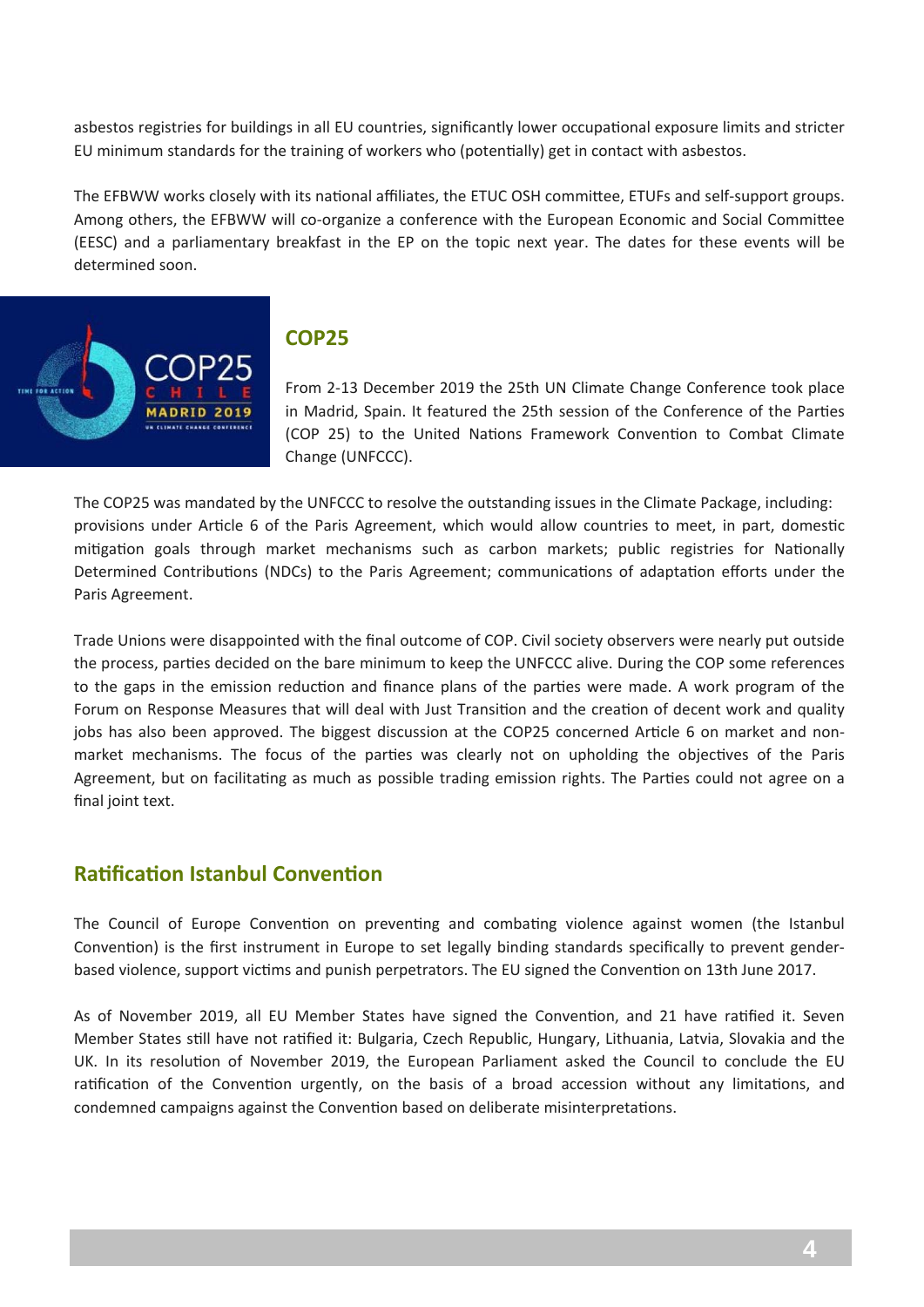asbestos registries for buildings in all EU countries, significantly lower occupational exposure limits and stricter EU minimum standards for the training of workers who (potentially) get in contact with asbestos.

The EFBWW works closely with its national affiliates, the ETUC OSH committee, ETUFs and self-support groups. Among others, the EFBWW will co-organize a conference with the European Economic and Social Committee (EESC) and a parliamentary breakfast in the EP on the topic next year. The dates for these events will be determined soon.



#### **COP25**

From 2‐13 December 2019 the 25th UN Climate Change Conference took place in Madrid, Spain. It featured the 25th session of the Conference of the Parties (COP 25) to the United Nations Framework Convention to Combat Climate Change (UNFCCC).

The COP25 was mandated by the UNFCCC to resolve the outstanding issues in the Climate Package, including: provisions under Article 6 of the Paris Agreement, which would allow countries to meet, in part, domestic mitigation goals through market mechanisms such as carbon markets; public registries for Nationally Determined Contributions (NDCs) to the Paris Agreement; communications of adaptation efforts under the Paris Agreement.

Trade Unions were disappointed with the final outcome of COP. Civil society observers were nearly put outside the process, parties decided on the bare minimum to keep the UNFCCC alive. During the COP some references to the gaps in the emission reduction and finance plans of the parties were made. A work program of the Forum on Response Measures that will deal with Just Transition and the creation of decent work and quality jobs has also been approved. The biggest discussion at the COP25 concerned Article 6 on market and nonmarket mechanisms. The focus of the parties was clearly not on upholding the objectives of the Paris Agreement, but on facilitating as much as possible trading emission rights. The Parties could not agree on a final joint text.

#### **Ratification Istanbul Convention**

The Council of Europe Convention on preventing and combating violence against women (the Istanbul Convention) is the first instrument in Europe to set legally binding standards specifically to prevent genderbased violence, support victims and punish perpetrators. The EU signed the Convention on 13th June 2017.

As of November 2019, all EU Member States have signed the Convention, and 21 have ratified it. Seven Member States still have not ratified it: Bulgaria, Czech Republic, Hungary, Lithuania, Latvia, Slovakia and the UK. In its resolution of November 2019, the European Parliament asked the Council to conclude the EU ratification of the Convention urgently, on the basis of a broad accession without any limitations, and condemned campaigns against the Convention based on deliberate misinterpretations.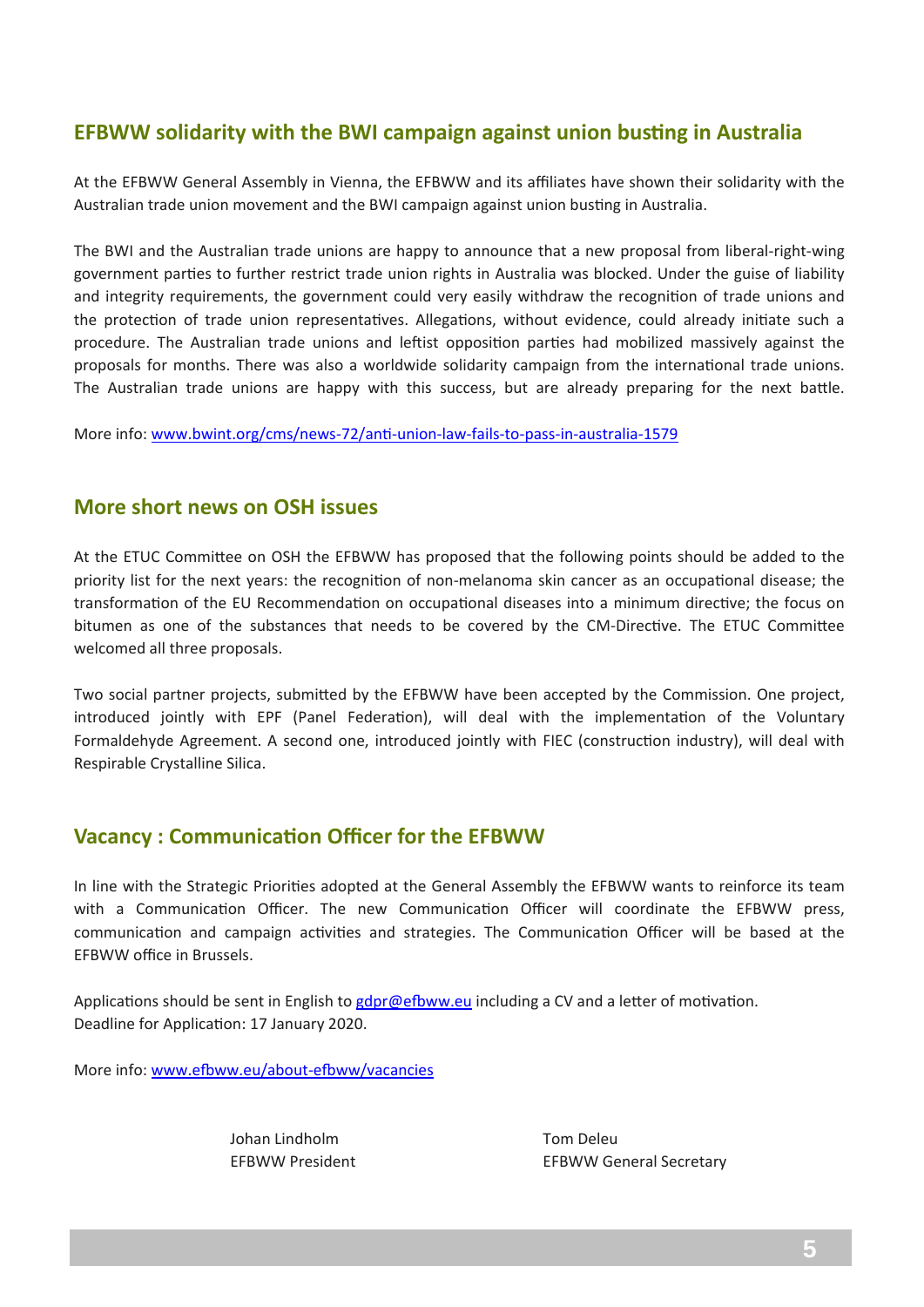### **EFBWW solidarity with the BWI campaign against union busting in Australia**

At the EFBWW General Assembly in Vienna, the EFBWW and its affiliates have shown their solidarity with the Australian trade union movement and the BWI campaign against union busting in Australia.

The BWI and the Australian trade unions are happy to announce that a new proposal from liberal‐right‐wing government parties to further restrict trade union rights in Australia was blocked. Under the guise of liability and integrity requirements, the government could very easily withdraw the recognition of trade unions and the protection of trade union representatives. Allegations, without evidence, could already initiate such a procedure. The Australian trade unions and leftist opposition parties had mobilized massively against the proposals for months. There was also a worldwide solidarity campaign from the international trade unions. The Australian trade unions are happy with this success, but are already preparing for the next battle.

More info: www.bwint.org/cms/news-72/anti-union-law-fails-to-pass-in-australia-1579

#### **More short news on OSH issues**

At the ETUC Committee on OSH the EFBWW has proposed that the following points should be added to the priority list for the next years: the recognition of non-melanoma skin cancer as an occupational disease; the transformation of the EU Recommendation on occupational diseases into a minimum directive; the focus on bitumen as one of the substances that needs to be covered by the CM-Directive. The ETUC Committee welcomed all three proposals.

Two social partner projects, submitted by the EFBWW have been accepted by the Commission. One project, introduced jointly with EPF (Panel Federation), will deal with the implementation of the Voluntary Formaldehyde Agreement. A second one, introduced jointly with FIEC (construction industry), will deal with Respirable Crystalline Silica.

#### **Vacancy : CommunicaƟon Officer for the EFBWW**

In line with the Strategic Priorities adopted at the General Assembly the EFBWW wants to reinforce its team with a Communication Officer. The new Communication Officer will coordinate the EFBWW press, communication and campaign activities and strategies. The Communication Officer will be based at the EFBWW office in Brussels.

Applications should be sent in English to gdpr@efbww.eu including a CV and a letter of motivation. Deadline for Application: 17 January 2020.

More info: www.efbww.eu/about-efbww/vacancies

Johan Lindholm Tom Deleu

EFBWW President 
EFBWW General Secretary